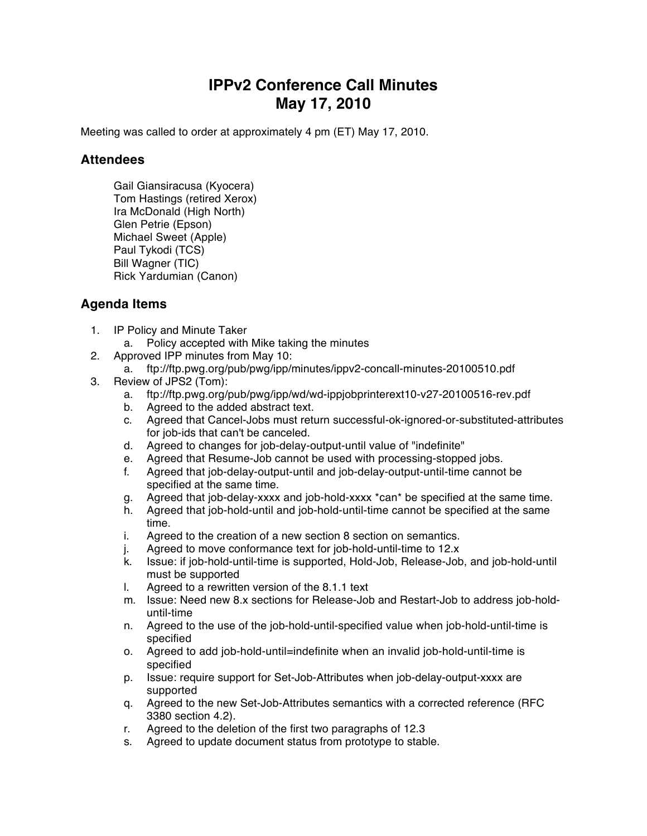## **IPPv2 Conference Call Minutes May 17, 2010**

Meeting was called to order at approximately 4 pm (ET) May 17, 2010.

## **Attendees**

Gail Giansiracusa (Kyocera) Tom Hastings (retired Xerox) Ira McDonald (High North) Glen Petrie (Epson) Michael Sweet (Apple) Paul Tykodi (TCS) Bill Wagner (TIC) Rick Yardumian (Canon)

## **Agenda Items**

- 1. IP Policy and Minute Taker
	- a. Policy accepted with Mike taking the minutes
- 2. Approved IPP minutes from May 10:
	- a. ftp://ftp.pwg.org/pub/pwg/ipp/minutes/ippv2-concall-minutes-20100510.pdf
- 3. Review of JPS2 (Tom):
	- a. ftp://ftp.pwg.org/pub/pwg/ipp/wd/wd-ippjobprinterext10-v27-20100516-rev.pdf
	- b. Agreed to the added abstract text.
	- c. Agreed that Cancel-Jobs must return successful-ok-ignored-or-substituted-attributes for job-ids that can't be canceled.
	- d. Agreed to changes for job-delay-output-until value of "indefinite"
	- e. Agreed that Resume-Job cannot be used with processing-stopped jobs.
	- f. Agreed that job-delay-output-until and job-delay-output-until-time cannot be specified at the same time.
	- g. Agreed that job-delay-xxxx and job-hold-xxxx \*can\* be specified at the same time.
	- h. Agreed that job-hold-until and job-hold-until-time cannot be specified at the same time.
	- i. Agreed to the creation of a new section 8 section on semantics.
	- j. Agreed to move conformance text for job-hold-until-time to 12.x
	- k. Issue: if job-hold-until-time is supported, Hold-Job, Release-Job, and job-hold-until must be supported
	- l. Agreed to a rewritten version of the 8.1.1 text
	- m. Issue: Need new 8.x sections for Release-Job and Restart-Job to address job-holduntil-time
	- n. Agreed to the use of the job-hold-until-specified value when job-hold-until-time is specified
	- o. Agreed to add job-hold-until=indefinite when an invalid job-hold-until-time is specified
	- p. Issue: require support for Set-Job-Attributes when job-delay-output-xxxx are supported
	- q. Agreed to the new Set-Job-Attributes semantics with a corrected reference (RFC 3380 section 4.2).
	- r. Agreed to the deletion of the first two paragraphs of 12.3
	- s. Agreed to update document status from prototype to stable.